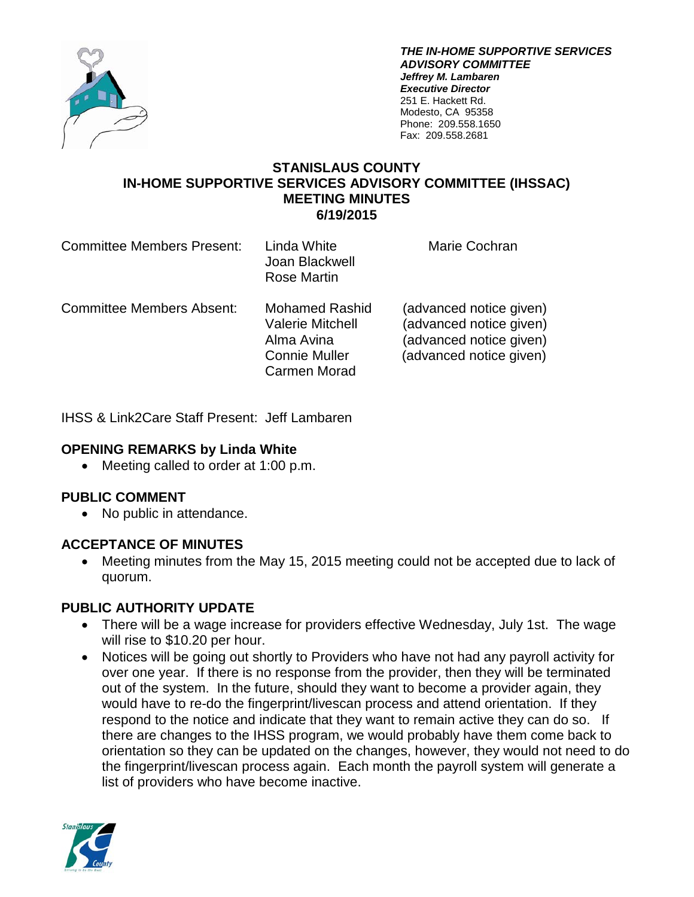

*THE IN-HOME SUPPORTIVE SERVICES ADVISORY COMMITTEE Jeffrey M. Lambaren Executive Director* 251 E. Hackett Rd. Modesto, CA 95358 Phone: 209.558.1650 Fax: 209.558.2681

### **STANISLAUS COUNTY IN-HOME SUPPORTIVE SERVICES ADVISORY COMMITTEE (IHSSAC) MEETING MINUTES 6/19/2015**

| <b>Committee Members Present:</b> | Linda White<br>Joan Blackwell<br>Rose Martin                                                                  | Marie Cochran                                                                                            |
|-----------------------------------|---------------------------------------------------------------------------------------------------------------|----------------------------------------------------------------------------------------------------------|
| <b>Committee Members Absent:</b>  | <b>Mohamed Rashid</b><br><b>Valerie Mitchell</b><br>Alma Avina<br><b>Connie Muller</b><br><b>Carmen Morad</b> | (advanced notice given)<br>(advanced notice given)<br>(advanced notice given)<br>(advanced notice given) |

IHSS & Link2Care Staff Present: Jeff Lambaren

### **OPENING REMARKS by Linda White**

• Meeting called to order at 1:00 p.m.

### **PUBLIC COMMENT**

• No public in attendance.

### **ACCEPTANCE OF MINUTES**

• Meeting minutes from the May 15, 2015 meeting could not be accepted due to lack of quorum.

# **PUBLIC AUTHORITY UPDATE**

- There will be a wage increase for providers effective Wednesday, July 1st. The wage will rise to \$10.20 per hour.
- Notices will be going out shortly to Providers who have not had any payroll activity for over one year. If there is no response from the provider, then they will be terminated out of the system. In the future, should they want to become a provider again, they would have to re-do the fingerprint/livescan process and attend orientation. If they respond to the notice and indicate that they want to remain active they can do so. If there are changes to the IHSS program, we would probably have them come back to orientation so they can be updated on the changes, however, they would not need to do the fingerprint/livescan process again. Each month the payroll system will generate a list of providers who have become inactive.

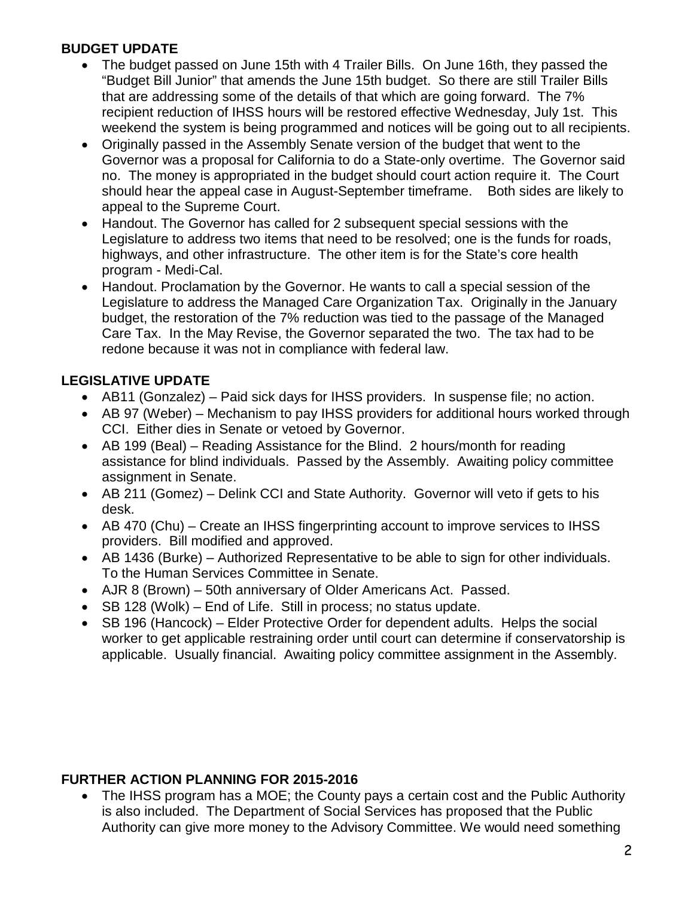# **BUDGET UPDATE**

- The budget passed on June 15th with 4 Trailer Bills. On June 16th, they passed the "Budget Bill Junior" that amends the June 15th budget. So there are still Trailer Bills that are addressing some of the details of that which are going forward. The 7% recipient reduction of IHSS hours will be restored effective Wednesday, July 1st. This weekend the system is being programmed and notices will be going out to all recipients.
- Originally passed in the Assembly Senate version of the budget that went to the Governor was a proposal for California to do a State-only overtime. The Governor said no. The money is appropriated in the budget should court action require it. The Court should hear the appeal case in August-September timeframe. Both sides are likely to appeal to the Supreme Court.
- Handout. The Governor has called for 2 subsequent special sessions with the Legislature to address two items that need to be resolved; one is the funds for roads, highways, and other infrastructure. The other item is for the State's core health program - Medi-Cal.
- Handout. Proclamation by the Governor. He wants to call a special session of the Legislature to address the Managed Care Organization Tax. Originally in the January budget, the restoration of the 7% reduction was tied to the passage of the Managed Care Tax. In the May Revise, the Governor separated the two. The tax had to be redone because it was not in compliance with federal law.

# **LEGISLATIVE UPDATE**

- AB11 (Gonzalez) Paid sick days for IHSS providers. In suspense file; no action.
- AB 97 (Weber) Mechanism to pay IHSS providers for additional hours worked through CCI. Either dies in Senate or vetoed by Governor.
- AB 199 (Beal) Reading Assistance for the Blind. 2 hours/month for reading assistance for blind individuals. Passed by the Assembly. Awaiting policy committee assignment in Senate.
- AB 211 (Gomez) Delink CCI and State Authority. Governor will veto if gets to his desk.
- AB 470 (Chu) Create an IHSS fingerprinting account to improve services to IHSS providers. Bill modified and approved.
- AB 1436 (Burke) Authorized Representative to be able to sign for other individuals. To the Human Services Committee in Senate.
- AJR 8 (Brown) 50th anniversary of Older Americans Act. Passed.
- SB 128 (Wolk) End of Life. Still in process; no status update.
- SB 196 (Hancock) Elder Protective Order for dependent adults. Helps the social worker to get applicable restraining order until court can determine if conservatorship is applicable. Usually financial. Awaiting policy committee assignment in the Assembly.

# **FURTHER ACTION PLANNING FOR 2015-2016**

• The IHSS program has a MOE; the County pays a certain cost and the Public Authority is also included. The Department of Social Services has proposed that the Public Authority can give more money to the Advisory Committee. We would need something